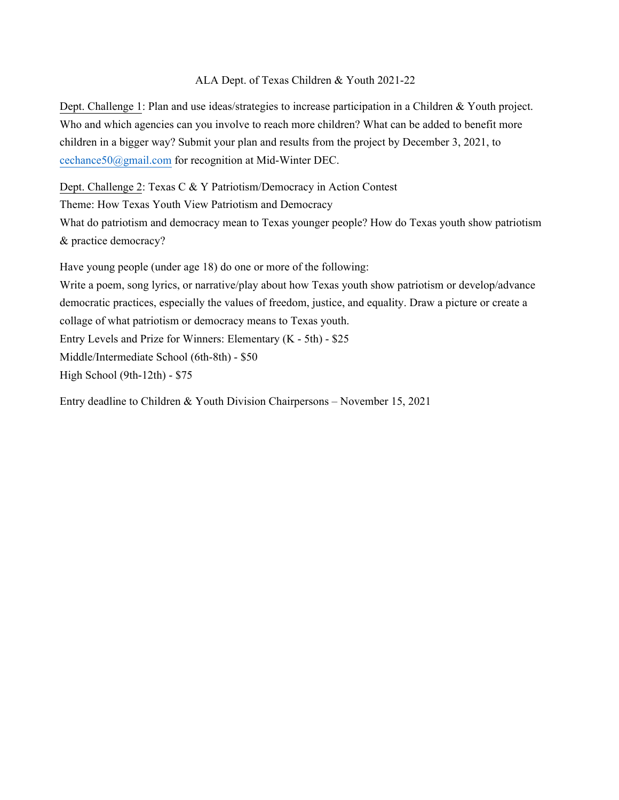## ALA Dept. of Texas Children & Youth 2021-22

Dept. Challenge 1: Plan and use ideas/strategies to increase participation in a Children & Youth project. Who and which agencies can you involve to reach more children? What can be added to benefit more children in a bigger way? Submit your plan and results from the project by December 3, 2021, to cechance50@gmail.com for recognition at Mid-Winter DEC.

Dept. Challenge 2: Texas C & Y Patriotism/Democracy in Action Contest

Theme: How Texas Youth View Patriotism and Democracy

What do patriotism and democracy mean to Texas younger people? How do Texas youth show patriotism & practice democracy?

Have young people (under age 18) do one or more of the following:

Write a poem, song lyrics, or narrative/play about how Texas youth show patriotism or develop/advance democratic practices, especially the values of freedom, justice, and equality. Draw a picture or create a collage of what patriotism or democracy means to Texas youth. Entry Levels and Prize for Winners: Elementary (K - 5th) - \$25 Middle/Intermediate School (6th-8th) - \$50 High School (9th-12th) - \$75

Entry deadline to Children & Youth Division Chairpersons – November 15, 2021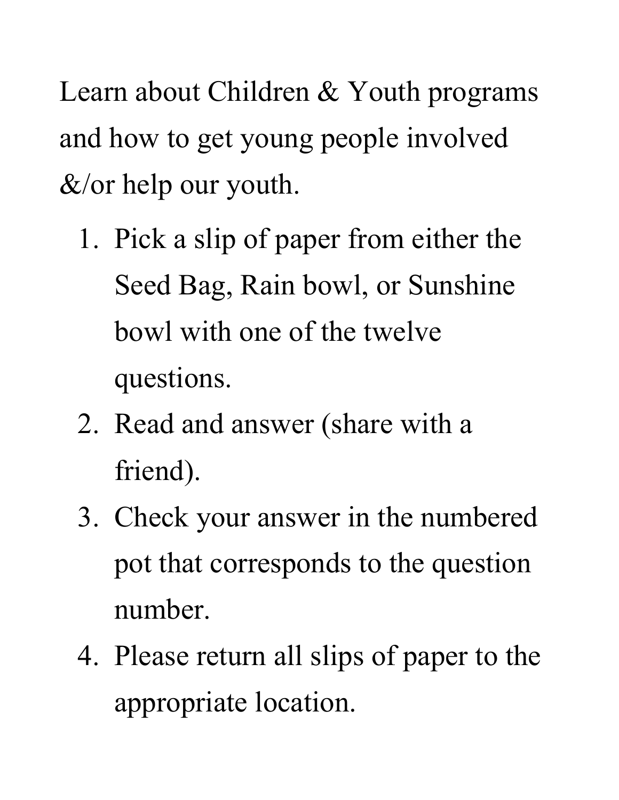Learn about Children & Youth programs and how to get young people involved  $&\&/$  or help our youth.

- 1. Pick a slip of paper from either the Seed Bag, Rain bowl, or Sunshine bowl with one of the twelve questions.
- 2. Read and answer (share with a friend).
- 3. Check your answer in the numbered pot that corresponds to the question number.
- 4. Please return all slips of paper to the appropriate location.